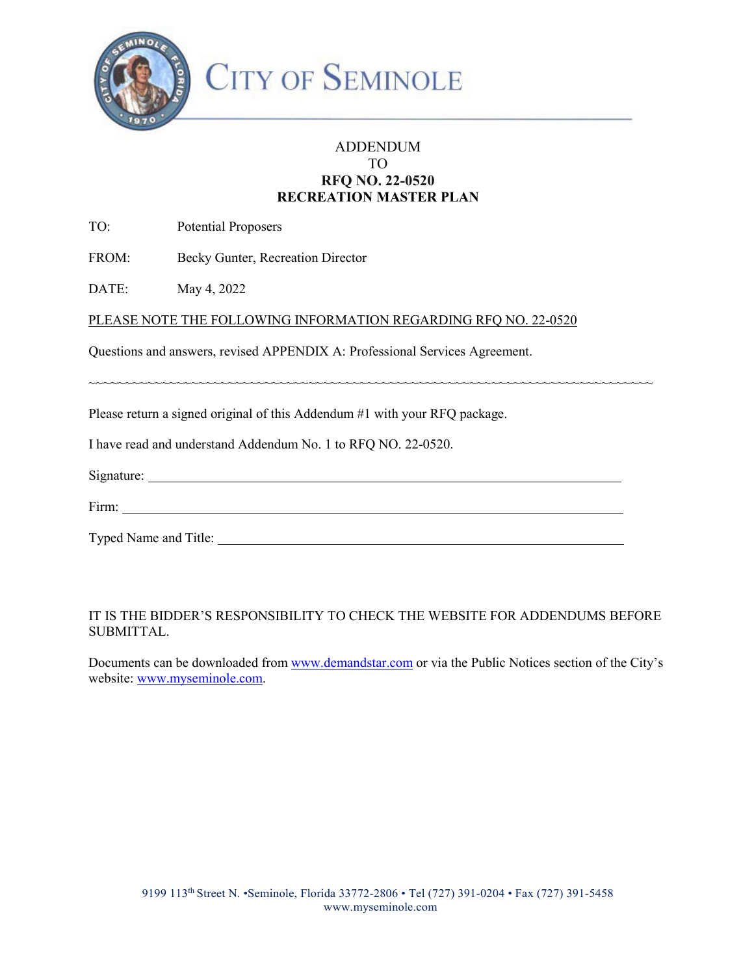

### ADDENDUM TO **RFQ NO. 22-0520 RECREATION MASTER PLAN**

TO: Potential Proposers

FROM: Becky Gunter, Recreation Director

DATE: May 4, 2022

PLEASE NOTE THE FOLLOWING INFORMATION REGARDING RFQ NO. 22-0520

Questions and answers, revised APPENDIX A: Professional Services Agreement.

Please return a signed original of this Addendum #1 with your RFQ package.

I have read and understand Addendum No. 1 to RFQ NO. 22-0520.

| $\sim$<br>Signature: |  |  |
|----------------------|--|--|
|                      |  |  |

~~~~~~~~~~~~~~~~~~~~~~~~~~~~~~~~~~~~~~~~~~~~~~~~~~~~~~~~~~~~~~~~~~~~~~~~~~~~~

| $\overline{\phantom{a}}$<br>F1rm<br>.<br>------ |  |
|-------------------------------------------------|--|
|                                                 |  |

Typed Name and Title:

### IT IS THE BIDDER'S RESPONSIBILITY TO CHECK THE WEBSITE FOR ADDENDUMS BEFORE SUBMITTAL.

Documents can be downloaded from [www.demandstar.com o](http://www.demandstar.com/)r via the Public Notices section of the City's website: [www.myseminole.com.](http://www.myseminole.com/)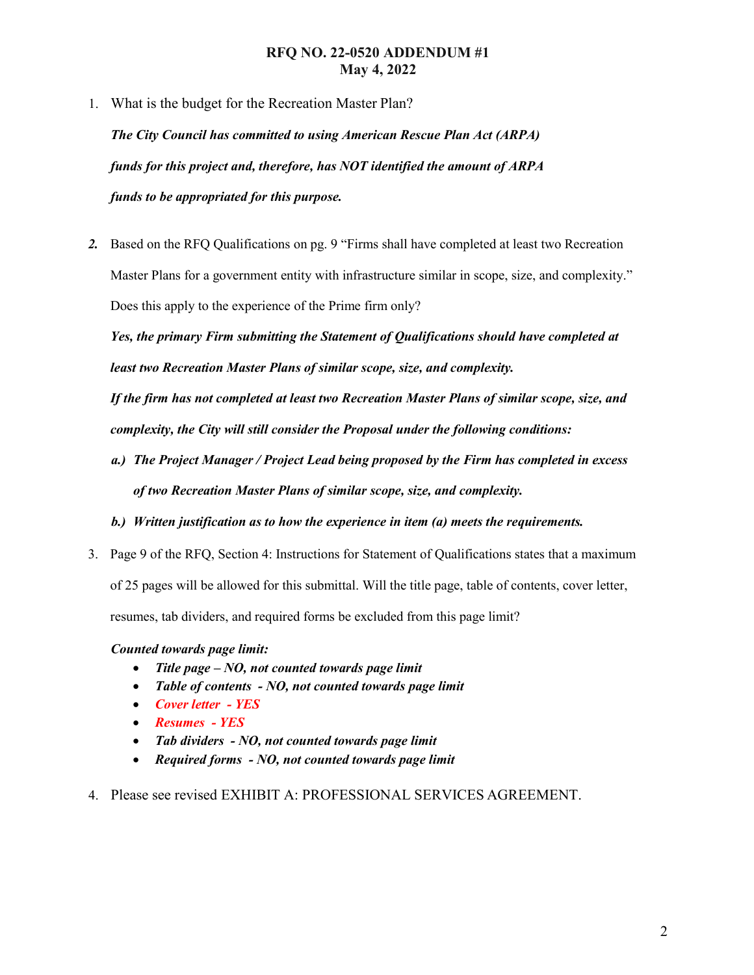### **RFQ NO. 22-0520 ADDENDUM #1 May 4, 2022**

1. What is the budget for the Recreation Master Plan?

*The City Council has committed to using American Rescue Plan Act (ARPA) funds for this project and, therefore, has NOT identified the amount of ARPA funds to be appropriated for this purpose.* 

*2.* Based on the RFQ Qualifications on pg. 9 "Firms shall have completed at least two Recreation Master Plans for a government entity with infrastructure similar in scope, size, and complexity." Does this apply to the experience of the Prime firm only?

*Yes, the primary Firm submitting the Statement of Qualifications should have completed at least two Recreation Master Plans of similar scope, size, and complexity.* 

*If the firm has not completed at least two Recreation Master Plans of similar scope, size, and complexity, the City will still consider the Proposal under the following conditions:* 

- *a.) The Project Manager / Project Lead being proposed by the Firm has completed in excess of two Recreation Master Plans of similar scope, size, and complexity.*
- *b.) Written justification as to how the experience in item (a) meets the requirements.*
- 3. Page 9 of the RFQ, Section 4: Instructions for Statement of Qualifications states that a maximum of 25 pages will be allowed for this submittal. Will the title page, table of contents, cover letter, resumes, tab dividers, and required forms be excluded from this page limit?

### *Counted towards page limit:*

- *Title page NO, not counted towards page limit*
- *Table of contents NO, not counted towards page limit*
- *Cover letter - YES*
- *Resumes - YES*
- *Tab dividers NO, not counted towards page limit*
- *Required forms NO, not counted towards page limit*
- 4. Please see revised EXHIBIT A: PROFESSIONAL SERVICES AGREEMENT.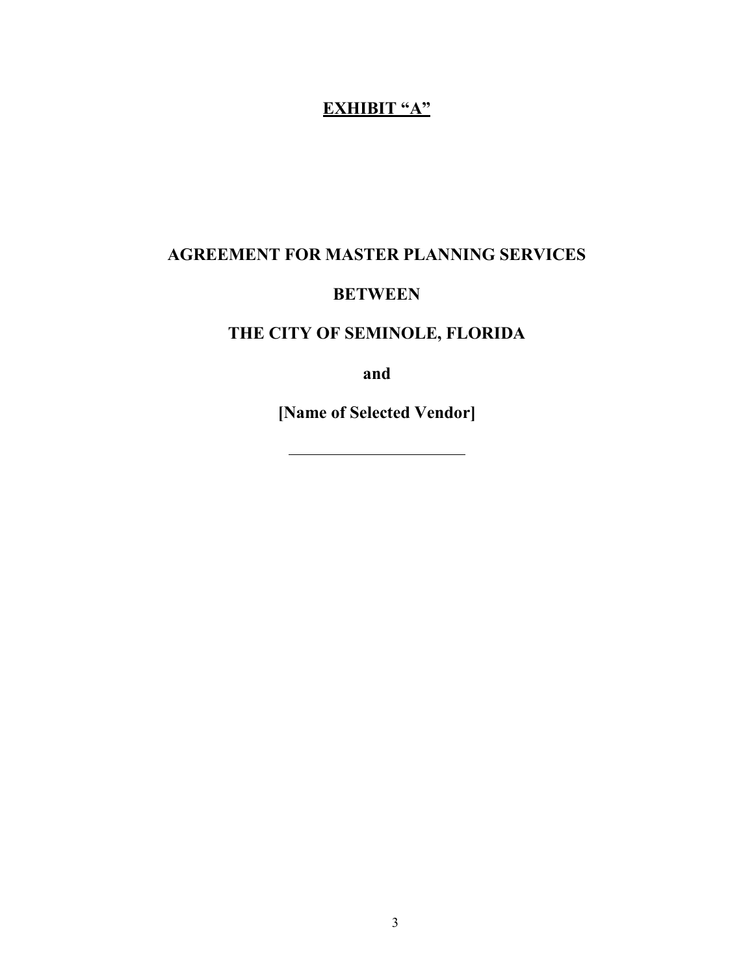# **EXHIBIT "A"**

# **AGREEMENT FOR MASTER PLANNING SERVICES**

# **BETWEEN**

# **THE CITY OF SEMINOLE, FLORIDA**

**and** 

**[Name of Selected Vendor]** 

3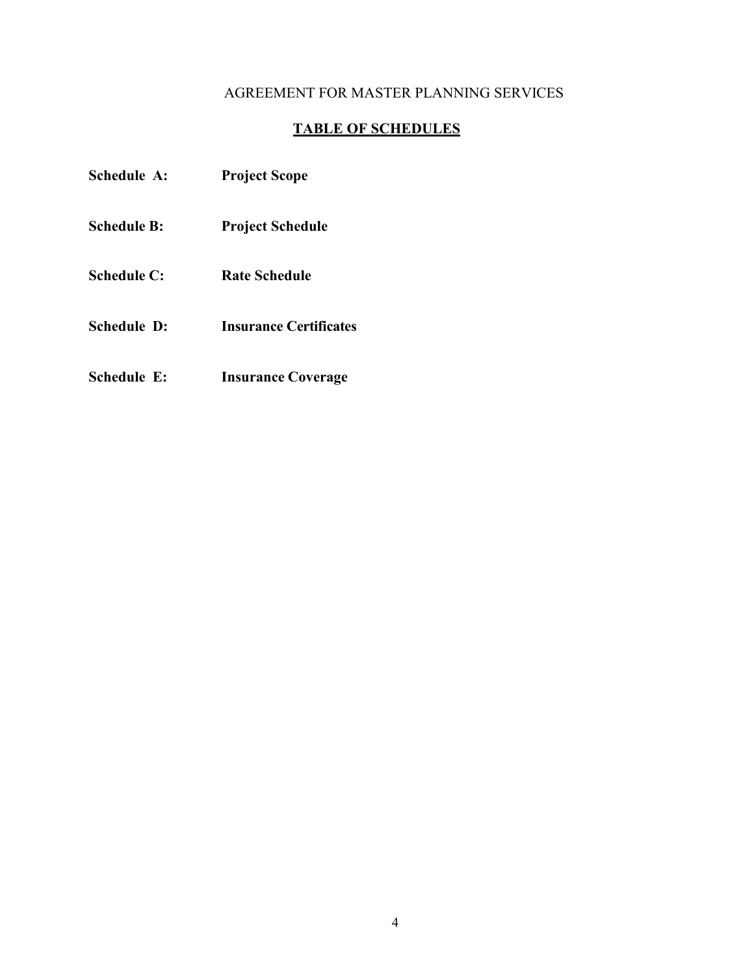# AGREEMENT FOR MASTER PLANNING SERVICES

# **TABLE OF SCHEDULES**

| Schedule A: | <b>Project Scope</b>          |
|-------------|-------------------------------|
| Schedule B: | <b>Project Schedule</b>       |
| Schedule C: | <b>Rate Schedule</b>          |
| Schedule D: | <b>Insurance Certificates</b> |
|             |                               |

**Schedule E: Insurance Coverage**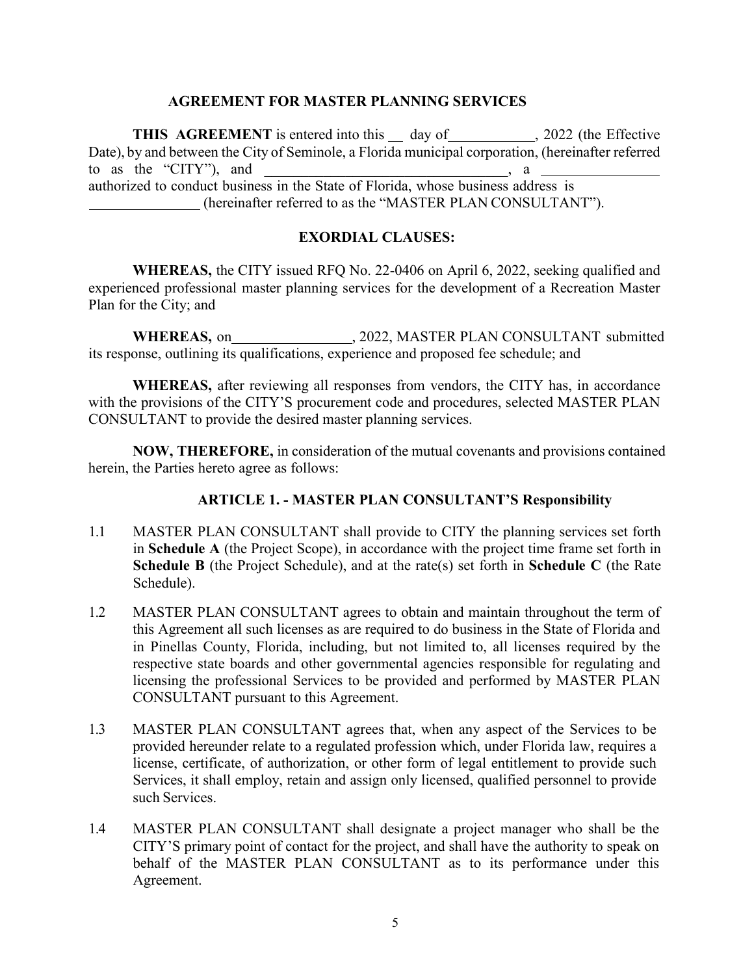#### **AGREEMENT FOR MASTER PLANNING SERVICES**

**THIS AGREEMENT** is entered into this \_\_ day of \_\_\_\_\_\_\_\_\_\_\_\_, 2022 (the Effective Date), by and between the City of Seminole, a Florida municipal corporation, (hereinafter referred to as the "CITY"), and  $\Box$ , a authorized to conduct business in the State of Florida, whose business address is (hereinafter referred to as the "MASTER PLAN CONSULTANT").

### **EXORDIAL CLAUSES:**

**WHEREAS,** the CITY issued RFQ No. 22-0406 on April 6, 2022, seeking qualified and experienced professional master planning services for the development of a Recreation Master Plan for the City; and

WHEREAS, on  $, 2022,$  MASTER PLAN CONSULTANT submitted its response, outlining its qualifications, experience and proposed fee schedule; and

**WHEREAS,** after reviewing all responses from vendors, the CITY has, in accordance with the provisions of the CITY'S procurement code and procedures, selected MASTER PLAN CONSULTANT to provide the desired master planning services.

**NOW, THEREFORE,** in consideration of the mutual covenants and provisions contained herein, the Parties hereto agree as follows:

#### **ARTICLE 1. - MASTER PLAN CONSULTANT'S Responsibility**

- 1.1 MASTER PLAN CONSULTANT shall provide to CITY the planning services set forth in **Schedule A** (the Project Scope), in accordance with the project time frame set forth in **Schedule B** (the Project Schedule), and at the rate(s) set forth in **Schedule C** (the Rate Schedule).
- 1.2 MASTER PLAN CONSULTANT agrees to obtain and maintain throughout the term of this Agreement all such licenses as are required to do business in the State of Florida and in Pinellas County, Florida, including, but not limited to, all licenses required by the respective state boards and other governmental agencies responsible for regulating and licensing the professional Services to be provided and performed by MASTER PLAN CONSULTANT pursuant to this Agreement.
- 1.3 MASTER PLAN CONSULTANT agrees that, when any aspect of the Services to be provided hereunder relate to a regulated profession which, under Florida law, requires a license, certificate, of authorization, or other form of legal entitlement to provide such Services, it shall employ, retain and assign only licensed, qualified personnel to provide such Services.
- 1.4 MASTER PLAN CONSULTANT shall designate a project manager who shall be the CITY'S primary point of contact for the project, and shall have the authority to speak on behalf of the MASTER PLAN CONSULTANT as to its performance under this Agreement.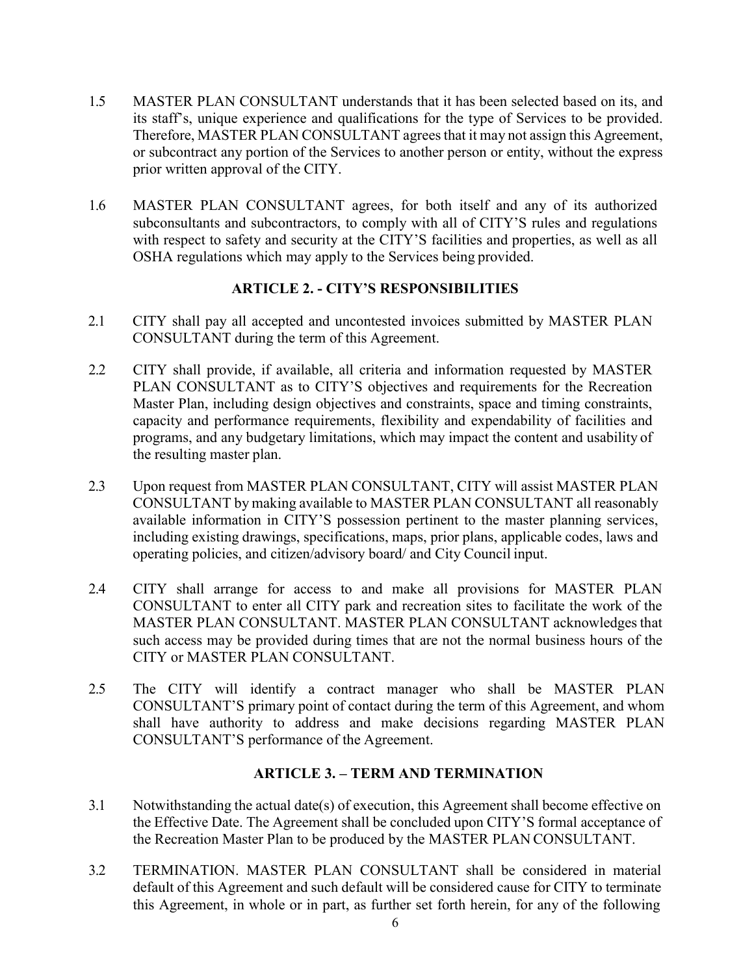- 1.5 MASTER PLAN CONSULTANT understands that it has been selected based on its, and its staff's, unique experience and qualifications for the type of Services to be provided. Therefore, MASTER PLAN CONSULTANT agrees that it may not assign this Agreement, or subcontract any portion of the Services to another person or entity, without the express prior written approval of the CITY.
- 1.6 MASTER PLAN CONSULTANT agrees, for both itself and any of its authorized subconsultants and subcontractors, to comply with all of CITY'S rules and regulations with respect to safety and security at the CITY'S facilities and properties, as well as all OSHA regulations which may apply to the Services being provided.

### **ARTICLE 2. - CITY'S RESPONSIBILITIES**

- 2.1 CITY shall pay all accepted and uncontested invoices submitted by MASTER PLAN CONSULTANT during the term of this Agreement.
- 2.2 CITY shall provide, if available, all criteria and information requested by MASTER PLAN CONSULTANT as to CITY'S objectives and requirements for the Recreation Master Plan, including design objectives and constraints, space and timing constraints, capacity and performance requirements, flexibility and expendability of facilities and programs, and any budgetary limitations, which may impact the content and usability of the resulting master plan.
- 2.3 Upon request from MASTER PLAN CONSULTANT, CITY will assist MASTER PLAN CONSULTANT by making available to MASTER PLAN CONSULTANT all reasonably available information in CITY'S possession pertinent to the master planning services, including existing drawings, specifications, maps, prior plans, applicable codes, laws and operating policies, and citizen/advisory board/ and City Council input.
- 2.4 CITY shall arrange for access to and make all provisions for MASTER PLAN CONSULTANT to enter all CITY park and recreation sites to facilitate the work of the MASTER PLAN CONSULTANT. MASTER PLAN CONSULTANT acknowledges that such access may be provided during times that are not the normal business hours of the CITY or MASTER PLAN CONSULTANT.
- 2.5 The CITY will identify a contract manager who shall be MASTER PLAN CONSULTANT'S primary point of contact during the term of this Agreement, and whom shall have authority to address and make decisions regarding MASTER PLAN CONSULTANT'S performance of the Agreement.

### **ARTICLE 3. – TERM AND TERMINATION**

- 3.1 Notwithstanding the actual date(s) of execution, this Agreement shall become effective on the Effective Date. The Agreement shall be concluded upon CITY'S formal acceptance of the Recreation Master Plan to be produced by the MASTER PLAN CONSULTANT.
- 3.2 TERMINATION. MASTER PLAN CONSULTANT shall be considered in material default of this Agreement and such default will be considered cause for CITY to terminate this Agreement, in whole or in part, as further set forth herein, for any of the following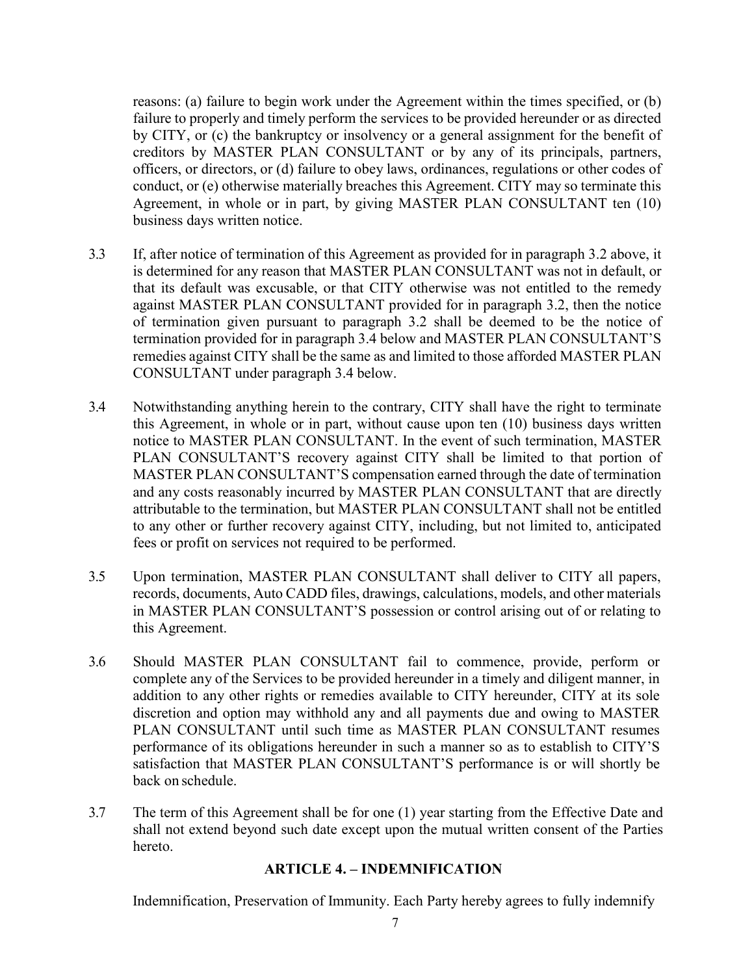reasons: (a) failure to begin work under the Agreement within the times specified, or (b) failure to properly and timely perform the services to be provided hereunder or as directed by CITY, or (c) the bankruptcy or insolvency or a general assignment for the benefit of creditors by MASTER PLAN CONSULTANT or by any of its principals, partners, officers, or directors, or (d) failure to obey laws, ordinances, regulations or other codes of conduct, or (e) otherwise materially breaches this Agreement. CITY may so terminate this Agreement, in whole or in part, by giving MASTER PLAN CONSULTANT ten (10) business days written notice.

- 3.3 If, after notice of termination of this Agreement as provided for in paragraph 3.2 above, it is determined for any reason that MASTER PLAN CONSULTANT was not in default, or that its default was excusable, or that CITY otherwise was not entitled to the remedy against MASTER PLAN CONSULTANT provided for in paragraph 3.2, then the notice of termination given pursuant to paragraph 3.2 shall be deemed to be the notice of termination provided for in paragraph 3.4 below and MASTER PLAN CONSULTANT'S remedies against CITY shall be the same as and limited to those afforded MASTER PLAN CONSULTANT under paragraph 3.4 below.
- 3.4 Notwithstanding anything herein to the contrary, CITY shall have the right to terminate this Agreement, in whole or in part, without cause upon ten (10) business days written notice to MASTER PLAN CONSULTANT. In the event of such termination, MASTER PLAN CONSULTANT'S recovery against CITY shall be limited to that portion of MASTER PLAN CONSULTANT'S compensation earned through the date of termination and any costs reasonably incurred by MASTER PLAN CONSULTANT that are directly attributable to the termination, but MASTER PLAN CONSULTANT shall not be entitled to any other or further recovery against CITY, including, but not limited to, anticipated fees or profit on services not required to be performed.
- 3.5 Upon termination, MASTER PLAN CONSULTANT shall deliver to CITY all papers, records, documents, Auto CADD files, drawings, calculations, models, and other materials in MASTER PLAN CONSULTANT'S possession or control arising out of or relating to this Agreement.
- 3.6 Should MASTER PLAN CONSULTANT fail to commence, provide, perform or complete any of the Services to be provided hereunder in a timely and diligent manner, in addition to any other rights or remedies available to CITY hereunder, CITY at its sole discretion and option may withhold any and all payments due and owing to MASTER PLAN CONSULTANT until such time as MASTER PLAN CONSULTANT resumes performance of its obligations hereunder in such a manner so as to establish to CITY'S satisfaction that MASTER PLAN CONSULTANT'S performance is or will shortly be back on schedule.
- 3.7 The term of this Agreement shall be for one (1) year starting from the Effective Date and shall not extend beyond such date except upon the mutual written consent of the Parties hereto.

#### **ARTICLE 4. – INDEMNIFICATION**

Indemnification, Preservation of Immunity. Each Party hereby agrees to fully indemnify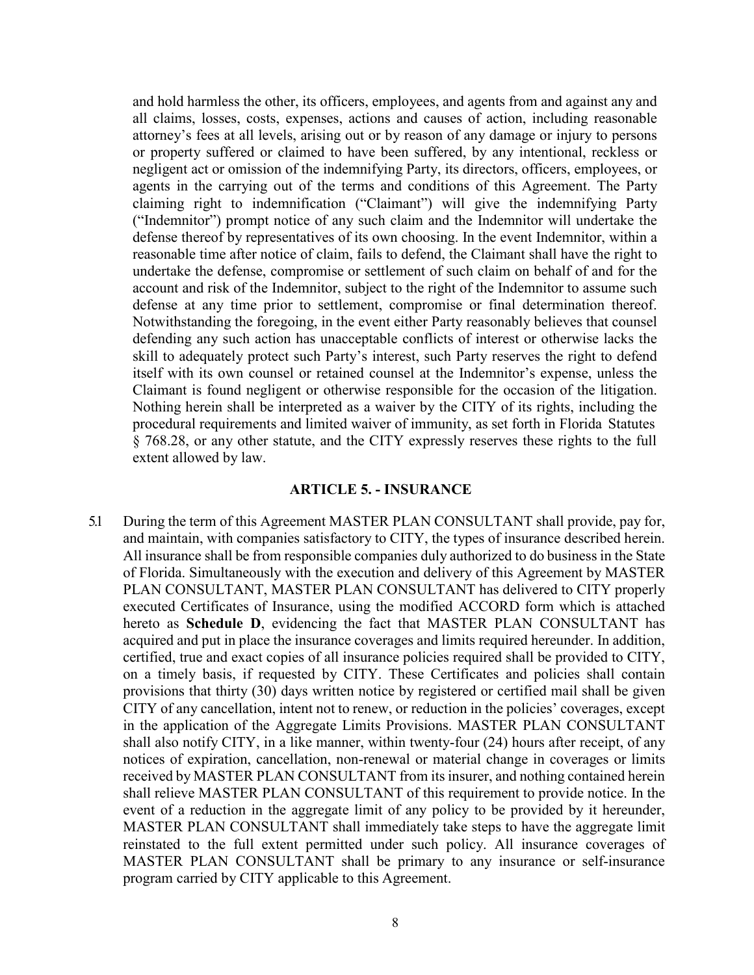and hold harmless the other, its officers, employees, and agents from and against any and all claims, losses, costs, expenses, actions and causes of action, including reasonable attorney's fees at all levels, arising out or by reason of any damage or injury to persons or property suffered or claimed to have been suffered, by any intentional, reckless or negligent act or omission of the indemnifying Party, its directors, officers, employees, or agents in the carrying out of the terms and conditions of this Agreement. The Party claiming right to indemnification ("Claimant") will give the indemnifying Party ("Indemnitor") prompt notice of any such claim and the Indemnitor will undertake the defense thereof by representatives of its own choosing. In the event Indemnitor, within a reasonable time after notice of claim, fails to defend, the Claimant shall have the right to undertake the defense, compromise or settlement of such claim on behalf of and for the account and risk of the Indemnitor, subject to the right of the Indemnitor to assume such defense at any time prior to settlement, compromise or final determination thereof. Notwithstanding the foregoing, in the event either Party reasonably believes that counsel defending any such action has unacceptable conflicts of interest or otherwise lacks the skill to adequately protect such Party's interest, such Party reserves the right to defend itself with its own counsel or retained counsel at the Indemnitor's expense, unless the Claimant is found negligent or otherwise responsible for the occasion of the litigation. Nothing herein shall be interpreted as a waiver by the CITY of its rights, including the procedural requirements and limited waiver of immunity, as set forth in Florida Statutes § 768.28, or any other statute, and the CITY expressly reserves these rights to the full extent allowed by law.

#### **ARTICLE 5. - INSURANCE**

5.1 During the term of this Agreement MASTER PLAN CONSULTANT shall provide, pay for, and maintain, with companies satisfactory to CITY, the types of insurance described herein. All insurance shall be from responsible companies duly authorized to do business in the State of Florida. Simultaneously with the execution and delivery of this Agreement by MASTER PLAN CONSULTANT, MASTER PLAN CONSULTANT has delivered to CITY properly executed Certificates of Insurance, using the modified ACCORD form which is attached hereto as **Schedule D**, evidencing the fact that MASTER PLAN CONSULTANT has acquired and put in place the insurance coverages and limits required hereunder. In addition, certified, true and exact copies of all insurance policies required shall be provided to CITY, on a timely basis, if requested by CITY. These Certificates and policies shall contain provisions that thirty (30) days written notice by registered or certified mail shall be given CITY of any cancellation, intent not to renew, or reduction in the policies' coverages, except in the application of the Aggregate Limits Provisions. MASTER PLAN CONSULTANT shall also notify CITY, in a like manner, within twenty-four (24) hours after receipt, of any notices of expiration, cancellation, non-renewal or material change in coverages or limits received by MASTER PLAN CONSULTANT from its insurer, and nothing contained herein shall relieve MASTER PLAN CONSULTANT of this requirement to provide notice. In the event of a reduction in the aggregate limit of any policy to be provided by it hereunder, MASTER PLAN CONSULTANT shall immediately take steps to have the aggregate limit reinstated to the full extent permitted under such policy. All insurance coverages of MASTER PLAN CONSULTANT shall be primary to any insurance or self-insurance program carried by CITY applicable to this Agreement.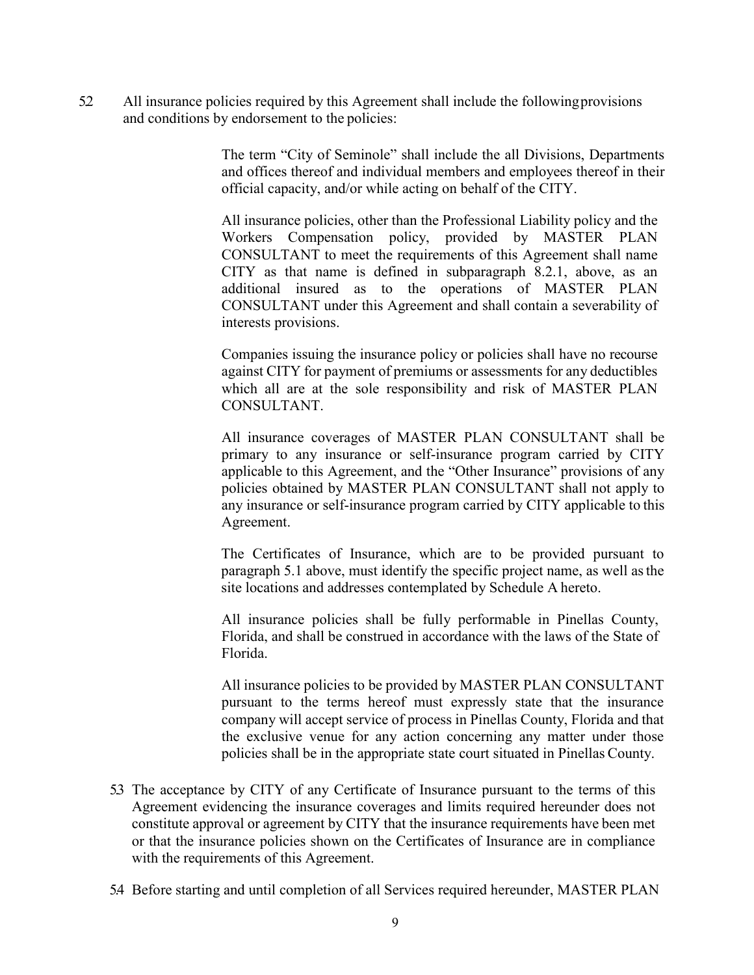5.2 All insurance policies required by this Agreement shall include the followingprovisions and conditions by endorsement to the policies:

> The term "City of Seminole" shall include the all Divisions, Departments and offices thereof and individual members and employees thereof in their official capacity, and/or while acting on behalf of the CITY.

All insurance policies, other than the Professional Liability policy and the Workers Compensation policy, provided by MASTER PLAN CONSULTANT to meet the requirements of this Agreement shall name CITY as that name is defined in subparagraph 8.2.1, above, as an additional insured as to the operations of MASTER PLAN CONSULTANT under this Agreement and shall contain a severability of interests provisions.

Companies issuing the insurance policy or policies shall have no recourse against CITY for payment of premiums or assessments for any deductibles which all are at the sole responsibility and risk of MASTER PLAN CONSULTANT.

All insurance coverages of MASTER PLAN CONSULTANT shall be primary to any insurance or self-insurance program carried by CITY applicable to this Agreement, and the "Other Insurance" provisions of any policies obtained by MASTER PLAN CONSULTANT shall not apply to any insurance or self-insurance program carried by CITY applicable to this Agreement.

The Certificates of Insurance, which are to be provided pursuant to paragraph 5.1 above, must identify the specific project name, as well as the site locations and addresses contemplated by Schedule A hereto.

All insurance policies shall be fully performable in Pinellas County, Florida, and shall be construed in accordance with the laws of the State of Florida.

All insurance policies to be provided by MASTER PLAN CONSULTANT pursuant to the terms hereof must expressly state that the insurance company will accept service of process in Pinellas County, Florida and that the exclusive venue for any action concerning any matter under those policies shall be in the appropriate state court situated in Pinellas County.

- 5.3 The acceptance by CITY of any Certificate of Insurance pursuant to the terms of this Agreement evidencing the insurance coverages and limits required hereunder does not constitute approval or agreement by CITY that the insurance requirements have been met or that the insurance policies shown on the Certificates of Insurance are in compliance with the requirements of this Agreement.
- 5.4 Before starting and until completion of all Services required hereunder, MASTER PLAN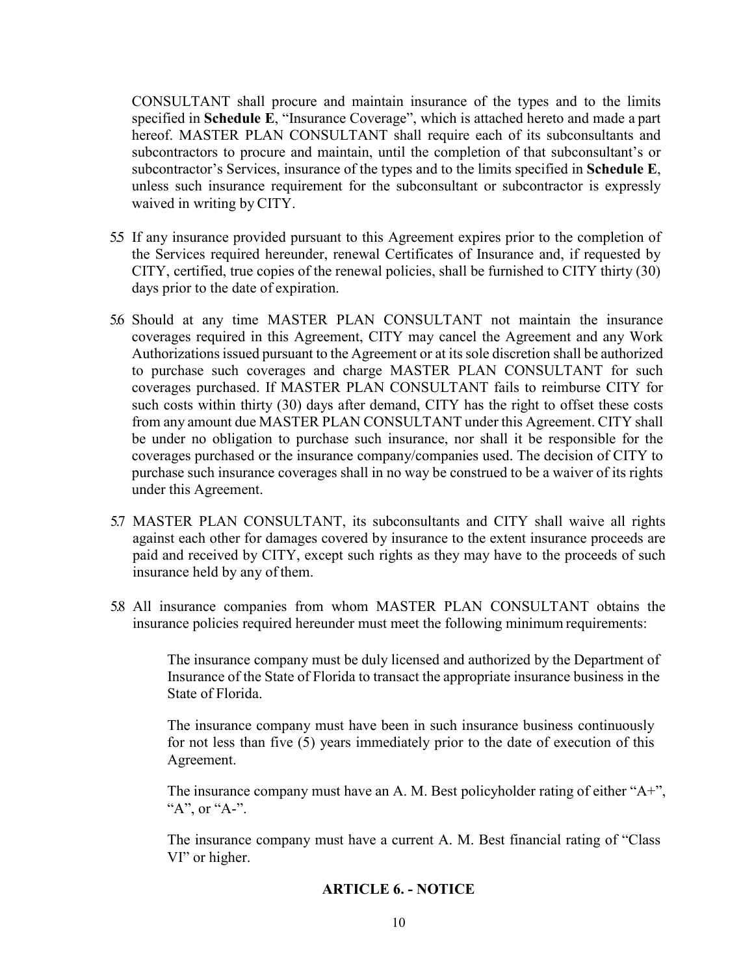CONSULTANT shall procure and maintain insurance of the types and to the limits specified in **Schedule E**, "Insurance Coverage", which is attached hereto and made a part hereof. MASTER PLAN CONSULTANT shall require each of its subconsultants and subcontractors to procure and maintain, until the completion of that subconsultant's or subcontractor's Services, insurance of the types and to the limits specified in **Schedule E**, unless such insurance requirement for the subconsultant or subcontractor is expressly waived in writing by CITY.

- 5.5 If any insurance provided pursuant to this Agreement expires prior to the completion of the Services required hereunder, renewal Certificates of Insurance and, if requested by CITY, certified, true copies of the renewal policies, shall be furnished to CITY thirty (30) days prior to the date of expiration.
- 5.6 Should at any time MASTER PLAN CONSULTANT not maintain the insurance coverages required in this Agreement, CITY may cancel the Agreement and any Work Authorizations issued pursuant to the Agreement or at its sole discretion shall be authorized to purchase such coverages and charge MASTER PLAN CONSULTANT for such coverages purchased. If MASTER PLAN CONSULTANT fails to reimburse CITY for such costs within thirty (30) days after demand, CITY has the right to offset these costs from any amount due MASTER PLAN CONSULTANT under this Agreement. CITY shall be under no obligation to purchase such insurance, nor shall it be responsible for the coverages purchased or the insurance company/companies used. The decision of CITY to purchase such insurance coverages shall in no way be construed to be a waiver of its rights under this Agreement.
- 5.7 MASTER PLAN CONSULTANT, its subconsultants and CITY shall waive all rights against each other for damages covered by insurance to the extent insurance proceeds are paid and received by CITY, except such rights as they may have to the proceeds of such insurance held by any of them.
- 5.8 All insurance companies from whom MASTER PLAN CONSULTANT obtains the insurance policies required hereunder must meet the following minimum requirements:

The insurance company must be duly licensed and authorized by the Department of Insurance of the State of Florida to transact the appropriate insurance business in the State of Florida.

The insurance company must have been in such insurance business continuously for not less than five (5) years immediately prior to the date of execution of this Agreement.

The insurance company must have an A. M. Best policyholder rating of either "A+", "A", or "A-".

The insurance company must have a current A. M. Best financial rating of "Class VI" or higher.

## **ARTICLE 6. - NOTICE**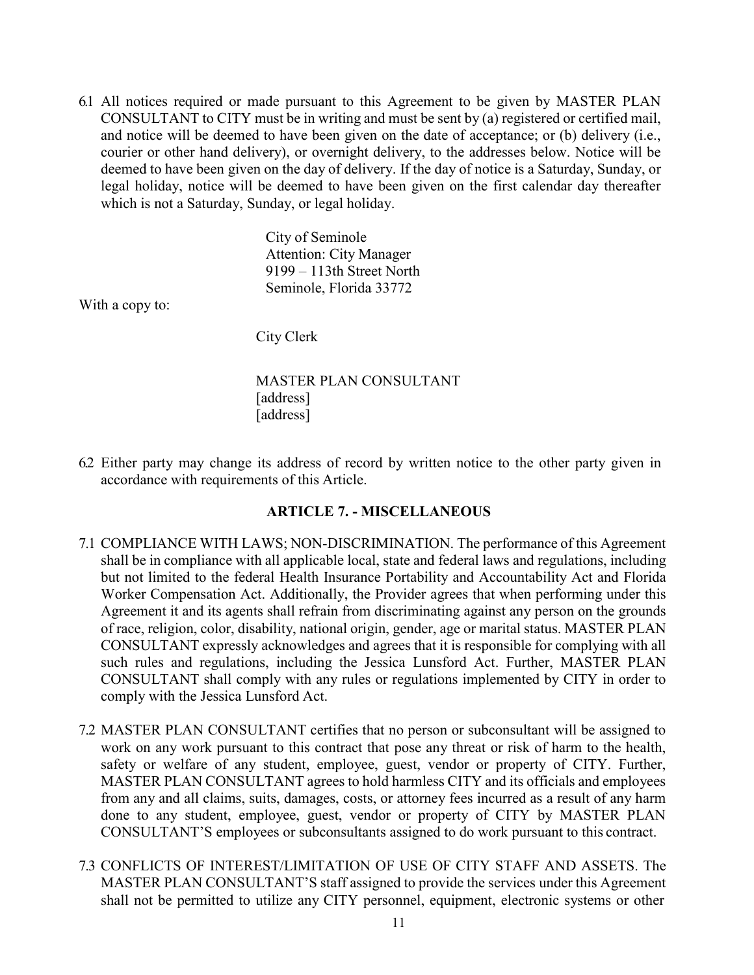6.1 All notices required or made pursuant to this Agreement to be given by MASTER PLAN CONSULTANT to CITY must be in writing and must be sent by (a) registered or certified mail, and notice will be deemed to have been given on the date of acceptance; or (b) delivery (i.e., courier or other hand delivery), or overnight delivery, to the addresses below. Notice will be deemed to have been given on the day of delivery. If the day of notice is a Saturday, Sunday, or legal holiday, notice will be deemed to have been given on the first calendar day thereafter which is not a Saturday, Sunday, or legal holiday.

> City of Seminole Attention: City Manager 9199 – 113th Street North Seminole, Florida 33772

With a copy to:

City Clerk

MASTER PLAN CONSULTANT [address] [address]

6.2 Either party may change its address of record by written notice to the other party given in accordance with requirements of this Article.

### **ARTICLE 7. - MISCELLANEOUS**

- 7.1 COMPLIANCE WITH LAWS; NON-DISCRIMINATION. The performance of this Agreement shall be in compliance with all applicable local, state and federal laws and regulations, including but not limited to the federal Health Insurance Portability and Accountability Act and Florida Worker Compensation Act. Additionally, the Provider agrees that when performing under this Agreement it and its agents shall refrain from discriminating against any person on the grounds of race, religion, color, disability, national origin, gender, age or marital status. MASTER PLAN CONSULTANT expressly acknowledges and agrees that it is responsible for complying with all such rules and regulations, including the Jessica Lunsford Act. Further, MASTER PLAN CONSULTANT shall comply with any rules or regulations implemented by CITY in order to comply with the Jessica Lunsford Act.
- 7.2 MASTER PLAN CONSULTANT certifies that no person or subconsultant will be assigned to work on any work pursuant to this contract that pose any threat or risk of harm to the health, safety or welfare of any student, employee, guest, vendor or property of CITY. Further, MASTER PLAN CONSULTANT agrees to hold harmless CITY and its officials and employees from any and all claims, suits, damages, costs, or attorney fees incurred as a result of any harm done to any student, employee, guest, vendor or property of CITY by MASTER PLAN CONSULTANT'S employees or subconsultants assigned to do work pursuant to this contract.
- 7.3 CONFLICTS OF INTEREST/LIMITATION OF USE OF CITY STAFF AND ASSETS. The MASTER PLAN CONSULTANT'S staff assigned to provide the services under this Agreement shall not be permitted to utilize any CITY personnel, equipment, electronic systems or other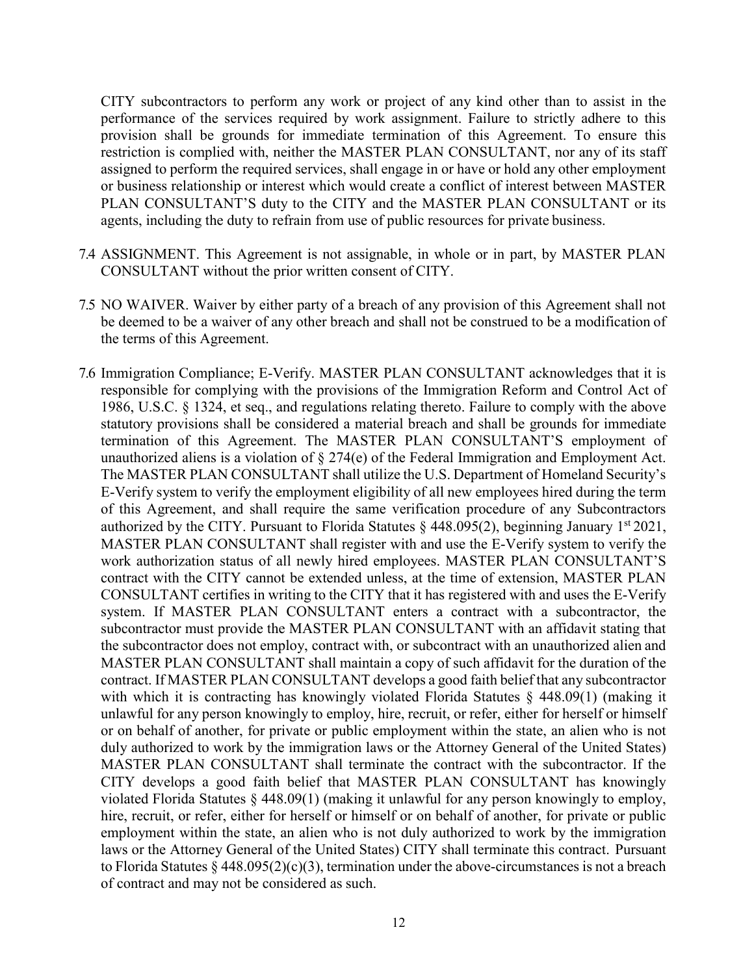CITY subcontractors to perform any work or project of any kind other than to assist in the performance of the services required by work assignment. Failure to strictly adhere to this provision shall be grounds for immediate termination of this Agreement. To ensure this restriction is complied with, neither the MASTER PLAN CONSULTANT, nor any of its staff assigned to perform the required services, shall engage in or have or hold any other employment or business relationship or interest which would create a conflict of interest between MASTER PLAN CONSULTANT'S duty to the CITY and the MASTER PLAN CONSULTANT or its agents, including the duty to refrain from use of public resources for private business.

- 7.4 ASSIGNMENT. This Agreement is not assignable, in whole or in part, by MASTER PLAN CONSULTANT without the prior written consent of CITY.
- 7.5 NO WAIVER. Waiver by either party of a breach of any provision of this Agreement shall not be deemed to be a waiver of any other breach and shall not be construed to be a modification of the terms of this Agreement.
- 7.6 Immigration Compliance; E-Verify. MASTER PLAN CONSULTANT acknowledges that it is responsible for complying with the provisions of the Immigration Reform and Control Act of 1986, U.S.C. § 1324, et seq., and regulations relating thereto. Failure to comply with the above statutory provisions shall be considered a material breach and shall be grounds for immediate termination of this Agreement. The MASTER PLAN CONSULTANT'S employment of unauthorized aliens is a violation of § 274(e) of the Federal Immigration and Employment Act. The MASTER PLAN CONSULTANT shall utilize the U.S. Department of Homeland Security's E-Verify system to verify the employment eligibility of all new employees hired during the term of this Agreement, and shall require the same verification procedure of any Subcontractors authorized by the CITY. Pursuant to Florida Statutes  $\S$  448.095(2), beginning January 1st 2021, MASTER PLAN CONSULTANT shall register with and use the E-Verify system to verify the work authorization status of all newly hired employees. MASTER PLAN CONSULTANT'S contract with the CITY cannot be extended unless, at the time of extension, MASTER PLAN CONSULTANT certifies in writing to the CITY that it has registered with and uses the E-Verify system. If MASTER PLAN CONSULTANT enters a contract with a subcontractor, the subcontractor must provide the MASTER PLAN CONSULTANT with an affidavit stating that the subcontractor does not employ, contract with, or subcontract with an unauthorized alien and MASTER PLAN CONSULTANT shall maintain a copy of such affidavit for the duration of the contract. If MASTER PLAN CONSULTANT develops a good faith belief that any subcontractor with which it is contracting has knowingly violated Florida Statutes § 448.09(1) (making it unlawful for any person knowingly to employ, hire, recruit, or refer, either for herself or himself or on behalf of another, for private or public employment within the state, an alien who is not duly authorized to work by the immigration laws or the Attorney General of the United States) MASTER PLAN CONSULTANT shall terminate the contract with the subcontractor. If the CITY develops a good faith belief that MASTER PLAN CONSULTANT has knowingly violated Florida Statutes § 448.09(1) (making it unlawful for any person knowingly to employ, hire, recruit, or refer, either for herself or himself or on behalf of another, for private or public employment within the state, an alien who is not duly authorized to work by the immigration laws or the Attorney General of the United States) CITY shall terminate this contract. Pursuant to Florida Statutes § 448.095(2)(c)(3), termination under the above-circumstances is not a breach of contract and may not be considered as such.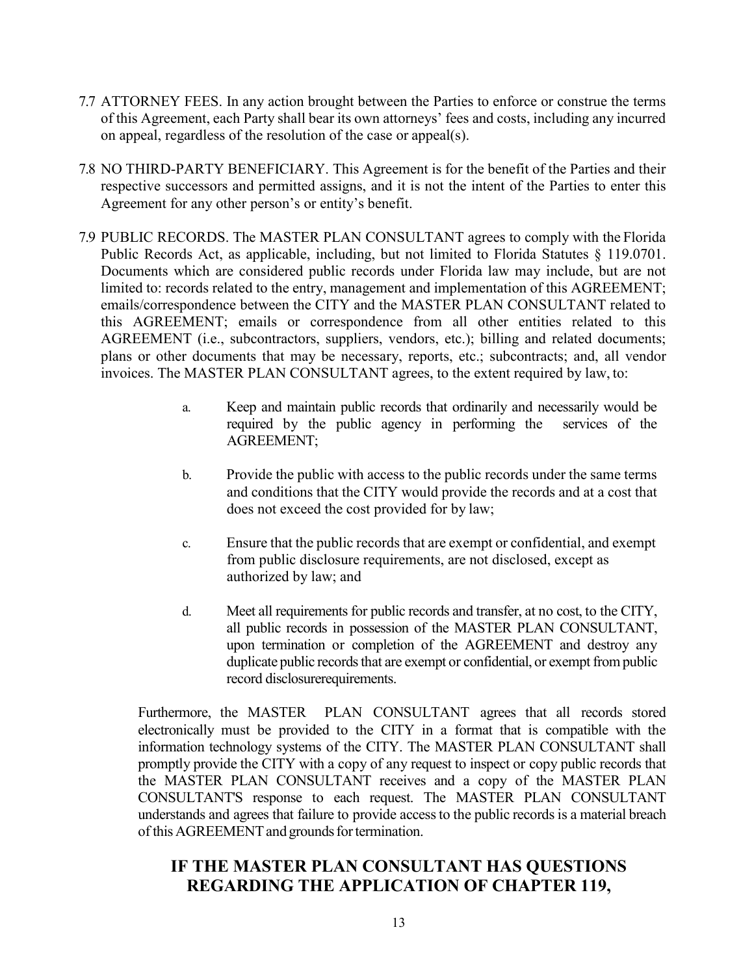- 7.7 ATTORNEY FEES. In any action brought between the Parties to enforce or construe the terms of this Agreement, each Party shall bear its own attorneys' fees and costs, including any incurred on appeal, regardless of the resolution of the case or appeal(s).
- 7.8 NO THIRD-PARTY BENEFICIARY. This Agreement is for the benefit of the Parties and their respective successors and permitted assigns, and it is not the intent of the Parties to enter this Agreement for any other person's or entity's benefit.
- 7.9 PUBLIC RECORDS. The MASTER PLAN CONSULTANT agrees to comply with the Florida Public Records Act, as applicable, including, but not limited to Florida Statutes § 119.0701. Documents which are considered public records under Florida law may include, but are not limited to: records related to the entry, management and implementation of this AGREEMENT; emails/correspondence between the CITY and the MASTER PLAN CONSULTANT related to this AGREEMENT; emails or correspondence from all other entities related to this AGREEMENT (i.e., subcontractors, suppliers, vendors, etc.); billing and related documents; plans or other documents that may be necessary, reports, etc.; subcontracts; and, all vendor invoices. The MASTER PLAN CONSULTANT agrees, to the extent required by law, to:
	- a. Keep and maintain public records that ordinarily and necessarily would be required by the public agency in performing the services of the AGREEMENT;
	- b. Provide the public with access to the public records under the same terms and conditions that the CITY would provide the records and at a cost that does not exceed the cost provided for by law;
	- c. Ensure that the public records that are exempt or confidential, and exempt from public disclosure requirements, are not disclosed, except as authorized by law; and
	- d. Meet all requirements for public records and transfer, at no cost, to the CITY, all public records in possession of the MASTER PLAN CONSULTANT, upon termination or completion of the AGREEMENT and destroy any duplicate public records that are exempt or confidential, or exempt from public record disclosurerequirements.

Furthermore, the MASTER PLAN CONSULTANT agrees that all records stored electronically must be provided to the CITY in a format that is compatible with the information technology systems of the CITY. The MASTER PLAN CONSULTANT shall promptly provide the CITY with a copy of any request to inspect or copy public records that the MASTER PLAN CONSULTANT receives and a copy of the MASTER PLAN CONSULTANT'S response to each request. The MASTER PLAN CONSULTANT understands and agrees that failure to provide access to the public records is a material breach of this AGREEMENT and grounds for termination.

# **IF THE MASTER PLAN CONSULTANT HAS QUESTIONS REGARDING THE APPLICATION OF CHAPTER 119,**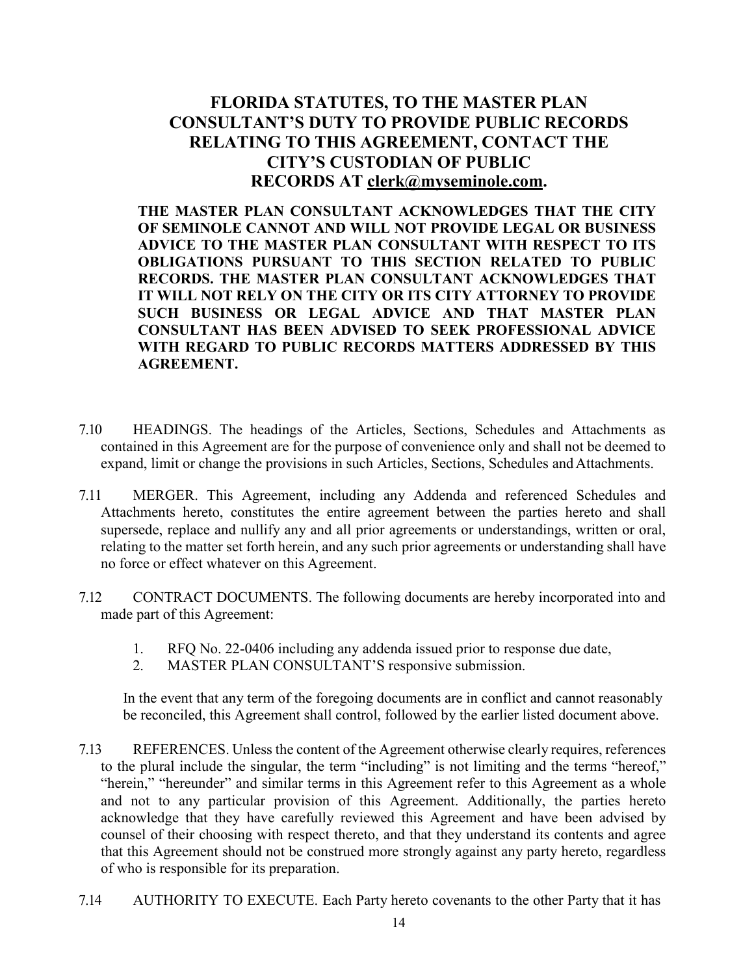# **FLORIDA STATUTES, TO THE MASTER PLAN CONSULTANT'S DUTY TO PROVIDE PUBLIC RECORDS RELATING TO THIS AGREEMENT, CONTACT THE CITY'S CUSTODIAN OF PUBLIC RECORDS AT [clerk@myseminole.com.](mailto:clerk@myseminole.com)**

**THE MASTER PLAN CONSULTANT ACKNOWLEDGES THAT THE CITY OF SEMINOLE CANNOT AND WILL NOT PROVIDE LEGAL OR BUSINESS ADVICE TO THE MASTER PLAN CONSULTANT WITH RESPECT TO ITS OBLIGATIONS PURSUANT TO THIS SECTION RELATED TO PUBLIC RECORDS. THE MASTER PLAN CONSULTANT ACKNOWLEDGES THAT IT WILL NOT RELY ON THE CITY OR ITS CITY ATTORNEY TO PROVIDE SUCH BUSINESS OR LEGAL ADVICE AND THAT MASTER PLAN CONSULTANT HAS BEEN ADVISED TO SEEK PROFESSIONAL ADVICE WITH REGARD TO PUBLIC RECORDS MATTERS ADDRESSED BY THIS AGREEMENT.** 

- 7.10 HEADINGS. The headings of the Articles, Sections, Schedules and Attachments as contained in this Agreement are for the purpose of convenience only and shall not be deemed to expand, limit or change the provisions in such Articles, Sections, Schedules and Attachments.
- 7.11 MERGER. This Agreement, including any Addenda and referenced Schedules and Attachments hereto, constitutes the entire agreement between the parties hereto and shall supersede, replace and nullify any and all prior agreements or understandings, written or oral, relating to the matter set forth herein, and any such prior agreements or understanding shall have no force or effect whatever on this Agreement.
- 7.12 CONTRACT DOCUMENTS. The following documents are hereby incorporated into and made part of this Agreement:
	- 1. RFQ No. 22-0406 including any addenda issued prior to response due date,
	- 2. MASTER PLAN CONSULTANT'S responsive submission.

In the event that any term of the foregoing documents are in conflict and cannot reasonably be reconciled, this Agreement shall control, followed by the earlier listed document above.

- 7.13 REFERENCES. Unless the content of the Agreement otherwise clearly requires, references to the plural include the singular, the term "including" is not limiting and the terms "hereof," "herein," "hereunder" and similar terms in this Agreement refer to this Agreement as a whole and not to any particular provision of this Agreement. Additionally, the parties hereto acknowledge that they have carefully reviewed this Agreement and have been advised by counsel of their choosing with respect thereto, and that they understand its contents and agree that this Agreement should not be construed more strongly against any party hereto, regardless of who is responsible for its preparation.
- 7.14 AUTHORITY TO EXECUTE. Each Party hereto covenants to the other Party that it has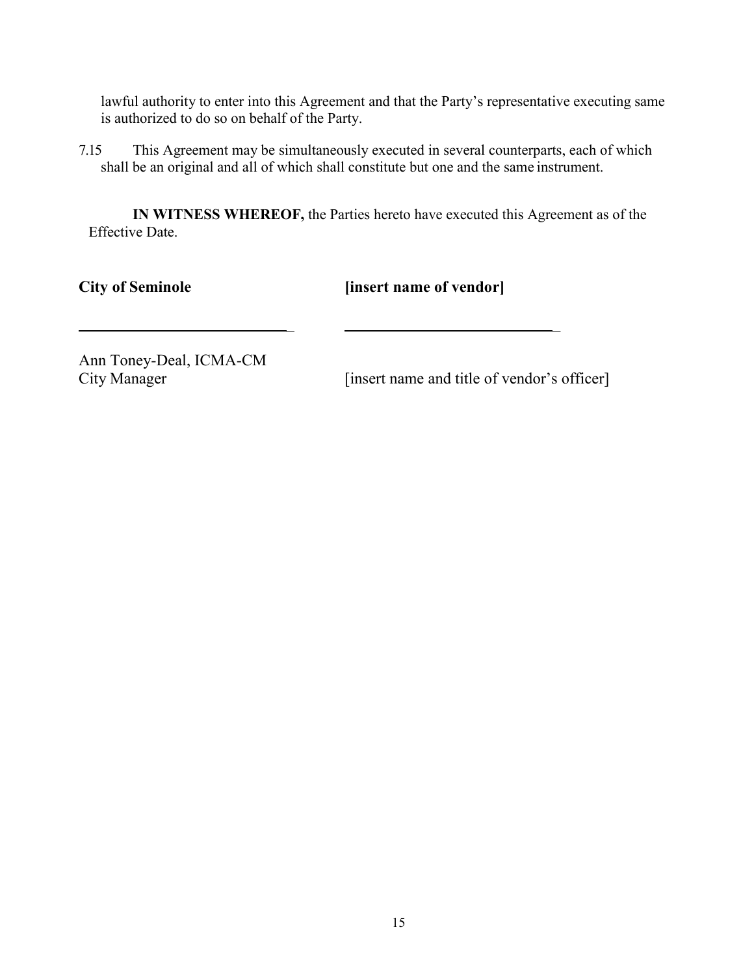lawful authority to enter into this Agreement and that the Party's representative executing same is authorized to do so on behalf of the Party.

7.15 This Agreement may be simultaneously executed in several counterparts, each of which shall be an original and all of which shall constitute but one and the same instrument.

**IN WITNESS WHEREOF,** the Parties hereto have executed this Agreement as of the Effective Date.

**City of Seminole** [insert name of vendor]

\_ \_

Ann Toney-Deal, ICMA-CM

City Manager [insert name and title of vendor's officer]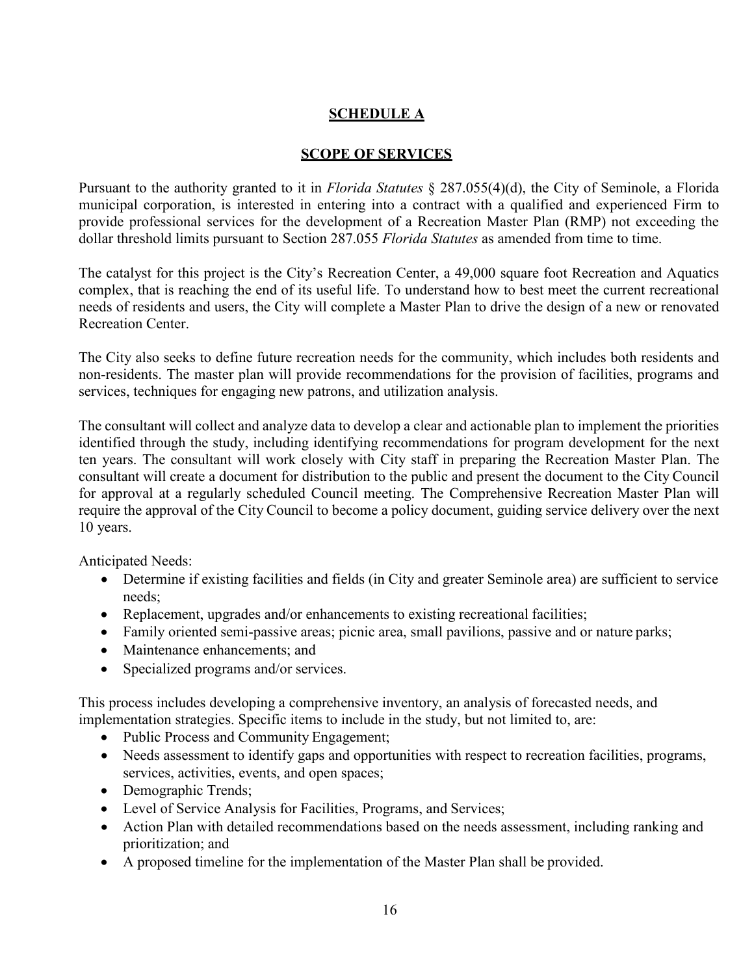# **SCHEDULE A**

## **SCOPE OF SERVICES**

Pursuant to the authority granted to it in *Florida Statutes* § 287.055(4)(d), the City of Seminole, a Florida municipal corporation, is interested in entering into a contract with a qualified and experienced Firm to provide professional services for the development of a Recreation Master Plan (RMP) not exceeding the dollar threshold limits pursuant to Section 287.055 *Florida Statutes* as amended from time to time.

The catalyst for this project is the City's Recreation Center, a 49,000 square foot Recreation and Aquatics complex, that is reaching the end of its useful life. To understand how to best meet the current recreational needs of residents and users, the City will complete a Master Plan to drive the design of a new or renovated Recreation Center.

The City also seeks to define future recreation needs for the community, which includes both residents and non-residents. The master plan will provide recommendations for the provision of facilities, programs and services, techniques for engaging new patrons, and utilization analysis.

The consultant will collect and analyze data to develop a clear and actionable plan to implement the priorities identified through the study, including identifying recommendations for program development for the next ten years. The consultant will work closely with City staff in preparing the Recreation Master Plan. The consultant will create a document for distribution to the public and present the document to the City Council for approval at a regularly scheduled Council meeting. The Comprehensive Recreation Master Plan will require the approval of the City Council to become a policy document, guiding service delivery over the next 10 years.

Anticipated Needs:

- Determine if existing facilities and fields (in City and greater Seminole area) are sufficient to service needs;
- Replacement, upgrades and/or enhancements to existing recreational facilities;
- Family oriented semi-passive areas; picnic area, small pavilions, passive and or nature parks;
- Maintenance enhancements: and
- Specialized programs and/or services.

This process includes developing a comprehensive inventory, an analysis of forecasted needs, and implementation strategies. Specific items to include in the study, but not limited to, are:

- Public Process and Community Engagement;
- Needs assessment to identify gaps and opportunities with respect to recreation facilities, programs, services, activities, events, and open spaces;
- Demographic Trends;
- Level of Service Analysis for Facilities, Programs, and Services;
- Action Plan with detailed recommendations based on the needs assessment, including ranking and prioritization; and
- A proposed timeline for the implementation of the Master Plan shall be provided.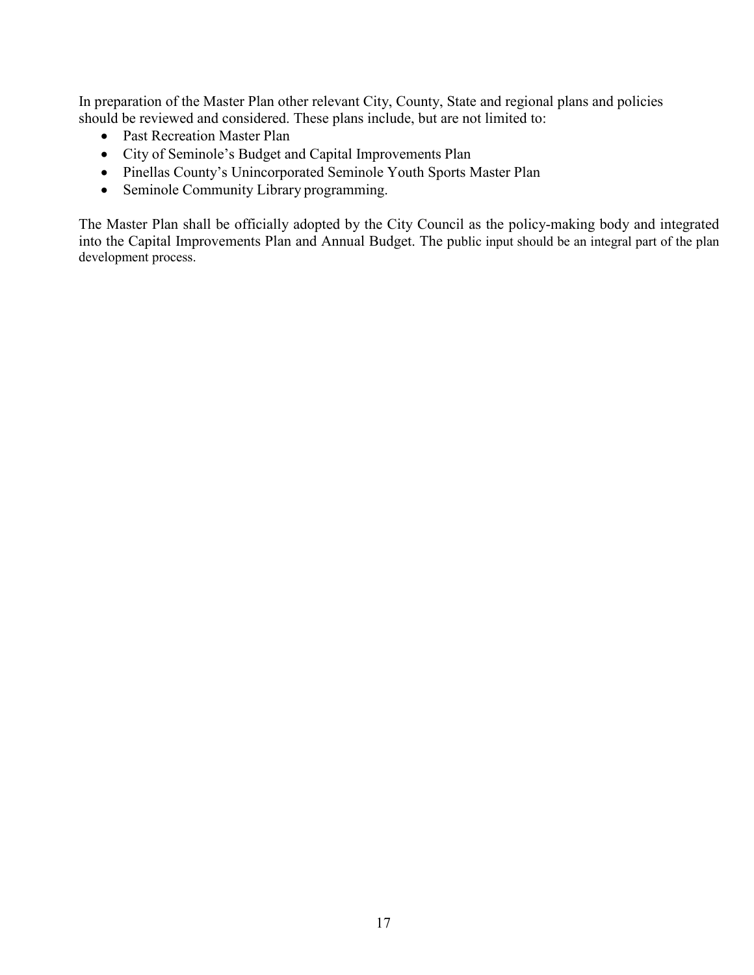In preparation of the Master Plan other relevant City, County, State and regional plans and policies should be reviewed and considered. These plans include, but are not limited to:

- Past Recreation Master Plan
- City of Seminole's Budget and Capital Improvements Plan
- Pinellas County's Unincorporated Seminole Youth Sports Master Plan
- Seminole Community Library programming.

The Master Plan shall be officially adopted by the City Council as the policy-making body and integrated into the Capital Improvements Plan and Annual Budget. The public input should be an integral part of the plan development process.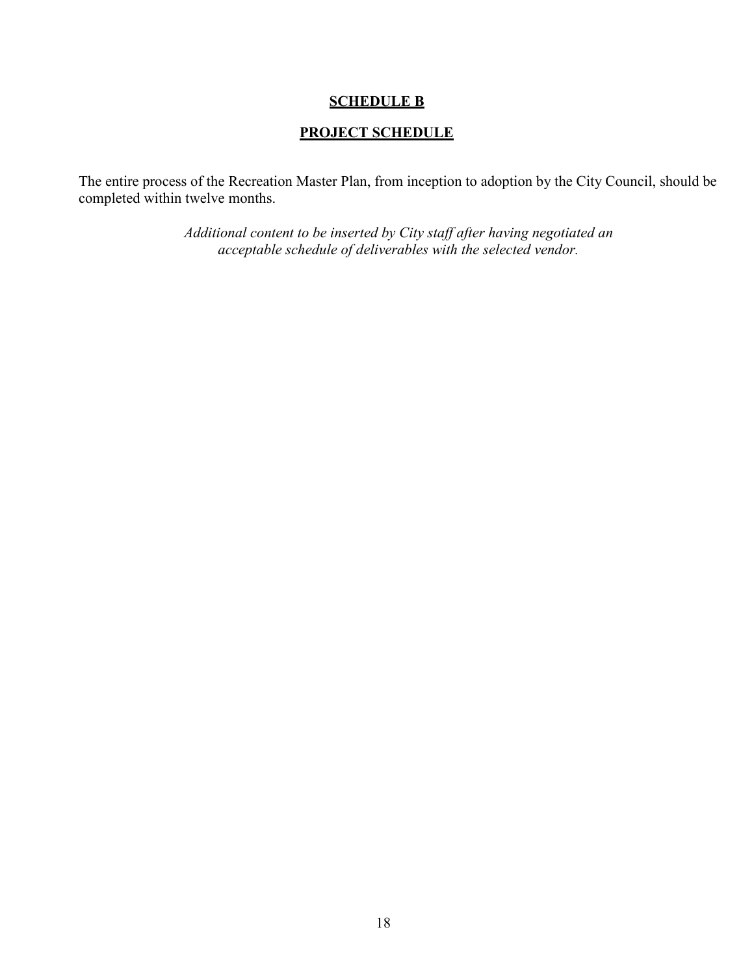### **SCHEDULE B**

# **PROJECT SCHEDULE**

The entire process of the Recreation Master Plan, from inception to adoption by the City Council, should be completed within twelve months.

> *Additional content to be inserted by City staff after having negotiated an acceptable schedule of deliverables with the selected vendor.*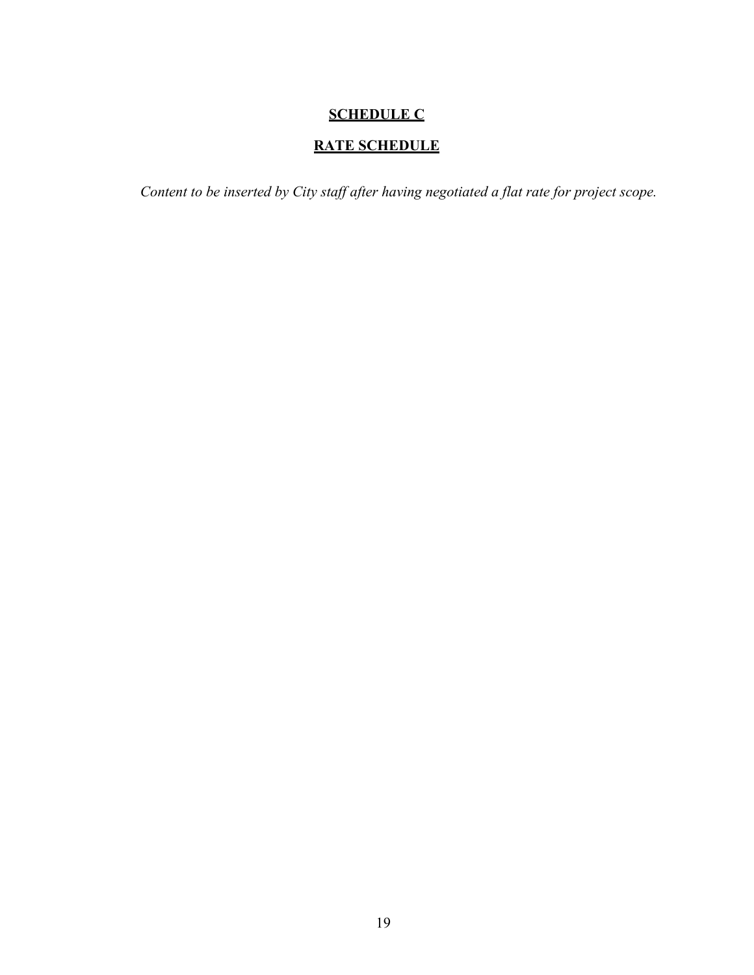# **SCHEDULE C**

# **RATE SCHEDULE**

*Content to be inserted by City staff after having negotiated a flat rate for project scope.*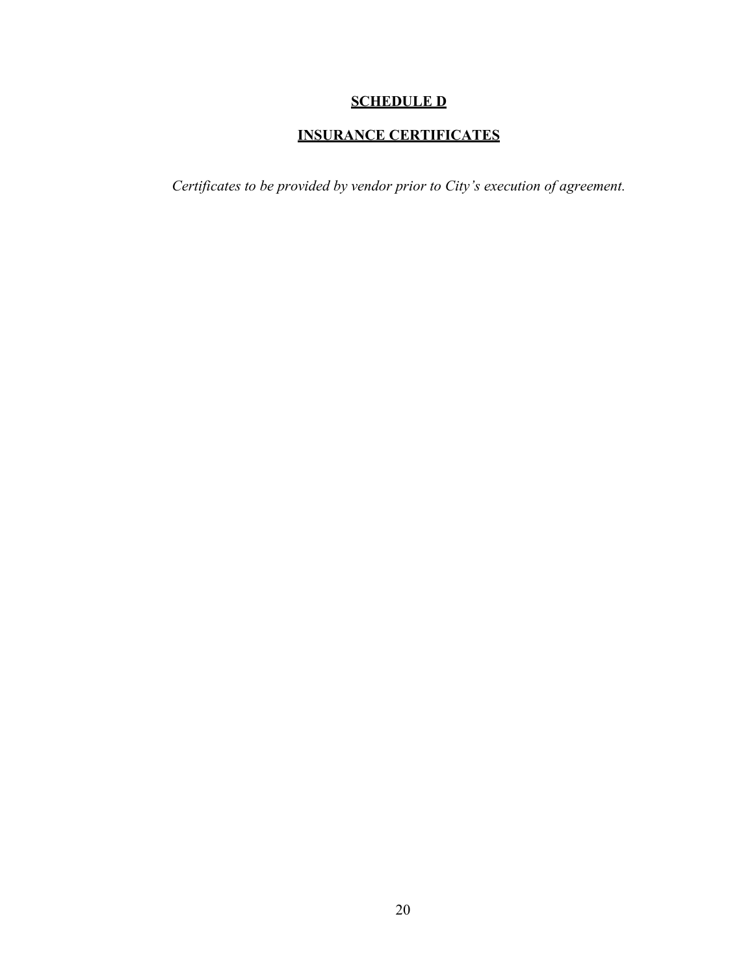# **SCHEDULE D**

# **INSURANCE CERTIFICATES**

*Certificates to be provided by vendor prior to City's execution of agreement.*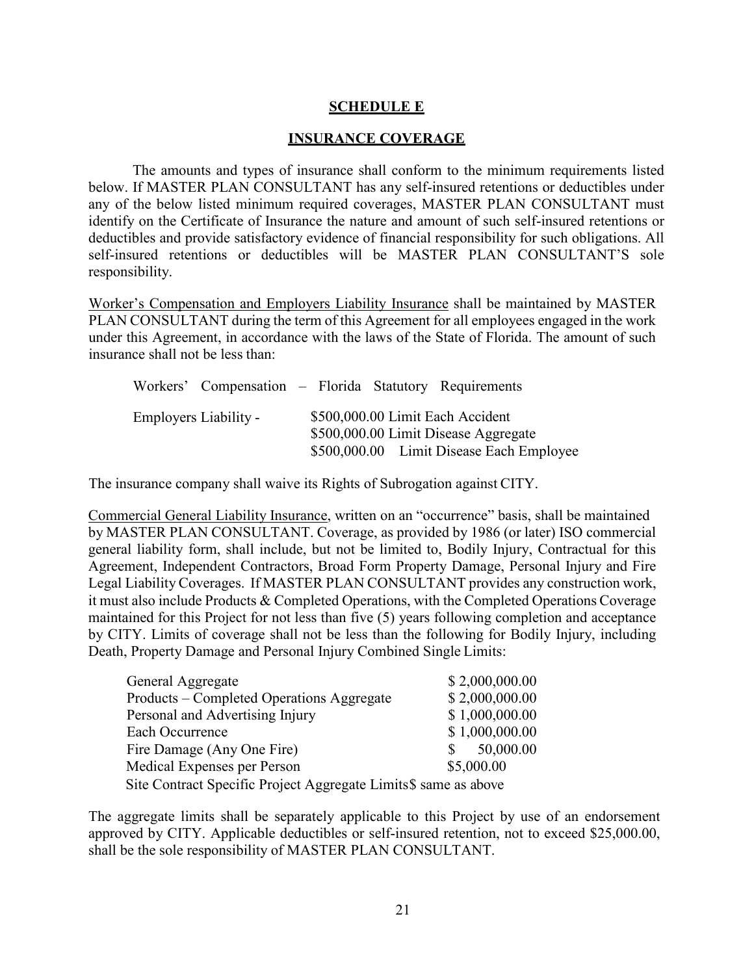### **SCHEDULE E**

#### **INSURANCE COVERAGE**

The amounts and types of insurance shall conform to the minimum requirements listed below. If MASTER PLAN CONSULTANT has any self-insured retentions or deductibles under any of the below listed minimum required coverages, MASTER PLAN CONSULTANT must identify on the Certificate of Insurance the nature and amount of such self-insured retentions or deductibles and provide satisfactory evidence of financial responsibility for such obligations. All self-insured retentions or deductibles will be MASTER PLAN CONSULTANT'S sole responsibility.

Worker's Compensation and Employers Liability Insurance shall be maintained by MASTER PLAN CONSULTANT during the term of this Agreement for all employees engaged in the work under this Agreement, in accordance with the laws of the State of Florida. The amount of such insurance shall not be less than:

|                       | Workers' Compensation – Florida Statutory Requirements                                                               |
|-----------------------|----------------------------------------------------------------------------------------------------------------------|
| Employers Liability - | \$500,000.00 Limit Each Accident<br>\$500,000.00 Limit Disease Aggregate<br>\$500,000.00 Limit Disease Each Employee |

The insurance company shall waive its Rights of Subrogation against CITY.

Commercial General Liability Insurance, written on an "occurrence" basis, shall be maintained by MASTER PLAN CONSULTANT. Coverage, as provided by 1986 (or later) ISO commercial general liability form, shall include, but not be limited to, Bodily Injury, Contractual for this Agreement, Independent Contractors, Broad Form Property Damage, Personal Injury and Fire Legal Liability Coverages. If MASTER PLAN CONSULTANT provides any construction work, it must also include Products & Completed Operations, with the Completed Operations Coverage maintained for this Project for not less than five (5) years following completion and acceptance by CITY. Limits of coverage shall not be less than the following for Bodily Injury, including Death, Property Damage and Personal Injury Combined Single Limits:

| General Aggregate                                               |     | \$2,000,000.00 |  |  |
|-----------------------------------------------------------------|-----|----------------|--|--|
| Products – Completed Operations Aggregate                       |     | \$2,000,000.00 |  |  |
| Personal and Advertising Injury                                 |     | \$1,000,000.00 |  |  |
| Each Occurrence                                                 |     | \$1,000,000.00 |  |  |
| Fire Damage (Any One Fire)                                      | SS. | 50,000.00      |  |  |
| Medical Expenses per Person                                     |     | \$5,000.00     |  |  |
| Site Contract Specific Project Aggregate Limits\$ same as above |     |                |  |  |

The aggregate limits shall be separately applicable to this Project by use of an endorsement approved by CITY. Applicable deductibles or self-insured retention, not to exceed \$25,000.00, shall be the sole responsibility of MASTER PLAN CONSULTANT.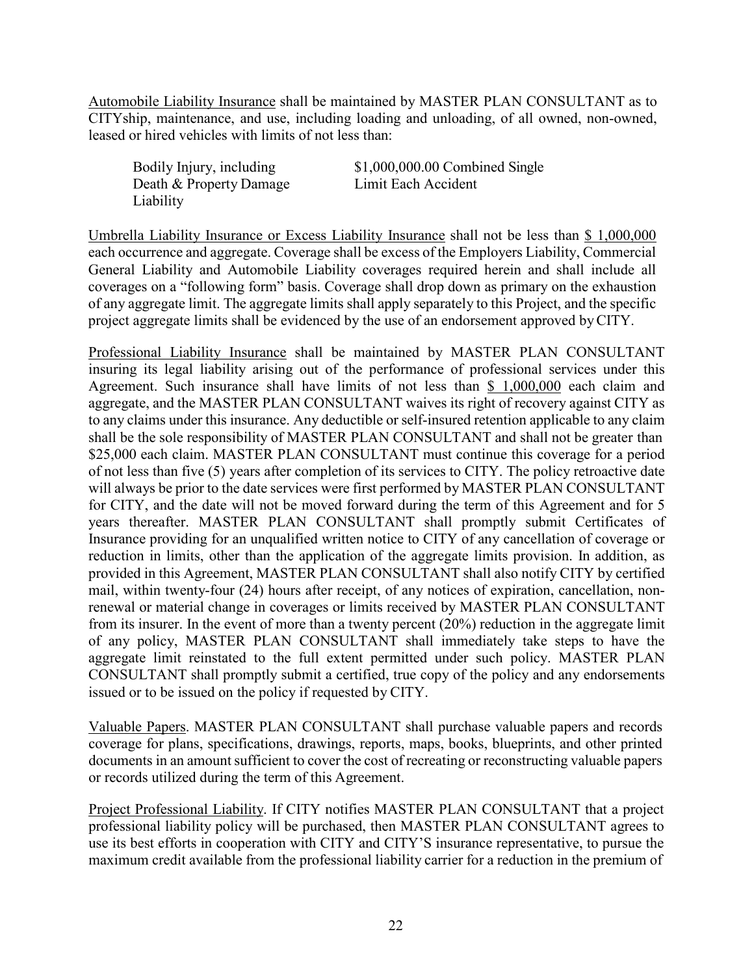Automobile Liability Insurance shall be maintained by MASTER PLAN CONSULTANT as to CITYship, maintenance, and use, including loading and unloading, of all owned, non-owned, leased or hired vehicles with limits of not less than:

Death & Property Damage Limit Each Accident Liability

Bodily Injury, including \$1,000,000.00 Combined Single

Umbrella Liability Insurance or Excess Liability Insurance shall not be less than \$ 1,000,000 each occurrence and aggregate. Coverage shall be excess of the Employers Liability, Commercial General Liability and Automobile Liability coverages required herein and shall include all coverages on a "following form" basis. Coverage shall drop down as primary on the exhaustion of any aggregate limit. The aggregate limits shall apply separately to this Project, and the specific project aggregate limits shall be evidenced by the use of an endorsement approved by CITY.

Professional Liability Insurance shall be maintained by MASTER PLAN CONSULTANT insuring its legal liability arising out of the performance of professional services under this Agreement. Such insurance shall have limits of not less than \$ 1,000,000 each claim and aggregate, and the MASTER PLAN CONSULTANT waives its right of recovery against CITY as to any claims under this insurance. Any deductible or self-insured retention applicable to any claim shall be the sole responsibility of MASTER PLAN CONSULTANT and shall not be greater than \$25,000 each claim. MASTER PLAN CONSULTANT must continue this coverage for a period of not less than five (5) years after completion of its services to CITY. The policy retroactive date will always be prior to the date services were first performed by MASTER PLAN CONSULTANT for CITY, and the date will not be moved forward during the term of this Agreement and for 5 years thereafter. MASTER PLAN CONSULTANT shall promptly submit Certificates of Insurance providing for an unqualified written notice to CITY of any cancellation of coverage or reduction in limits, other than the application of the aggregate limits provision. In addition, as provided in this Agreement, MASTER PLAN CONSULTANT shall also notify CITY by certified mail, within twenty-four (24) hours after receipt, of any notices of expiration, cancellation, nonrenewal or material change in coverages or limits received by MASTER PLAN CONSULTANT from its insurer. In the event of more than a twenty percent (20%) reduction in the aggregate limit of any policy, MASTER PLAN CONSULTANT shall immediately take steps to have the aggregate limit reinstated to the full extent permitted under such policy. MASTER PLAN CONSULTANT shall promptly submit a certified, true copy of the policy and any endorsements issued or to be issued on the policy if requested by CITY.

Valuable Papers. MASTER PLAN CONSULTANT shall purchase valuable papers and records coverage for plans, specifications, drawings, reports, maps, books, blueprints, and other printed documents in an amount sufficient to cover the cost of recreating or reconstructing valuable papers or records utilized during the term of this Agreement.

Project Professional Liability. If CITY notifies MASTER PLAN CONSULTANT that a project professional liability policy will be purchased, then MASTER PLAN CONSULTANT agrees to use its best efforts in cooperation with CITY and CITY'S insurance representative, to pursue the maximum credit available from the professional liability carrier for a reduction in the premium of